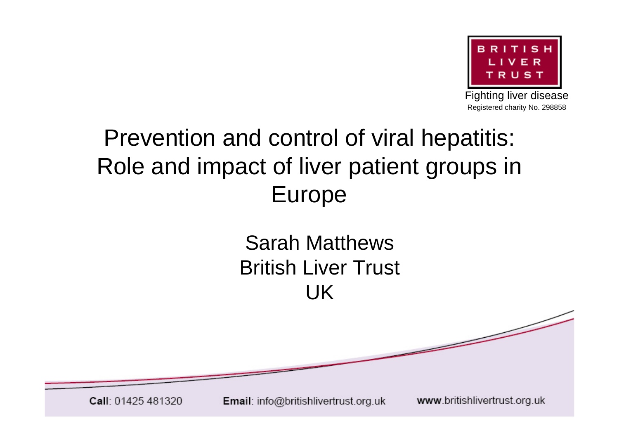

Fighting liver disease Registered charity No. 298858

#### Prevention and control of viral hepatitis: Role and impact of liver patient groups in Europe

#### Sarah Matthews British Liver Trust UK

Call: 01425 481320

Email: info@britishlivertrust.org.uk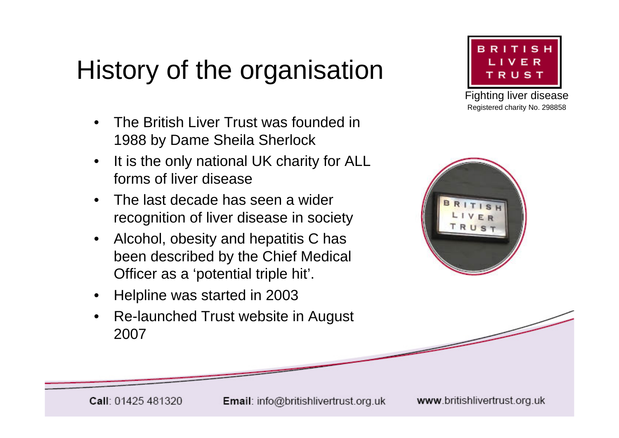# History of the organisation

- The British Liver Trust was founded in 1988 by Dame Sheila Sherlock
- It is the only national UK charity for ALL forms of liver disease
- The last decade has seen a wider recognition of liver disease in society
- Alcohol, obesity and hepatitis C has been described by the Chief Medical Officer as a 'potential triple hit'.
- Helpline was started in 2003
- Re-launched Trust website in August 2007



Fighting liver disease Registered charity No. 298858



Email: info@britishlivertrust.org.uk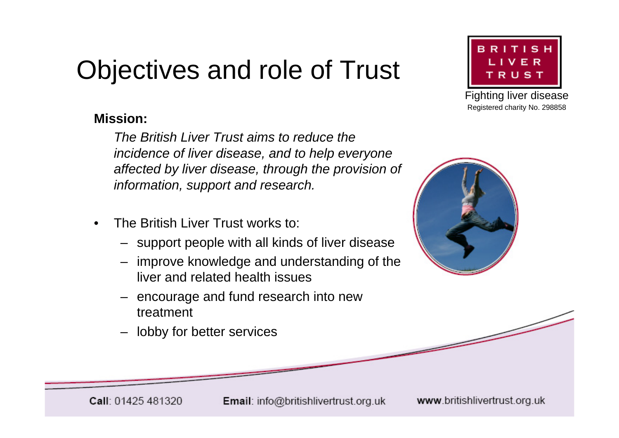## Objectives and role of Trust

#### **Mission:**

*The British Liver Trust aims to reduce the incidence of liver disease, and to help everyone affected by liver disease, through the provision of information, support and research.*

- The British Liver Trust works to:
	- support people with all kinds of liver disease
	- improve knowledge and understanding of the liver and related health issues
	- encourage and fund research into new treatment
	- lobby for better services



Fighting liver disease Registered charity No. 298858



Email: info@britishlivertrust.org.uk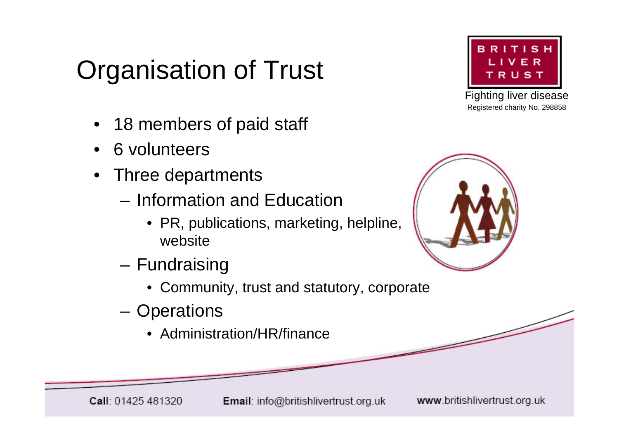## Organisation of Trust

- 18 members of paid staff
- 6 volunteers
- Three departments
	- Information and Education
		- PR, publications, marketing, helpline, website
	- Fundraising
		- Community, trust and statutory, corporate
	- Operations
		- Administration/HR/finance



Fighting liver disease Registered charity No. 298858

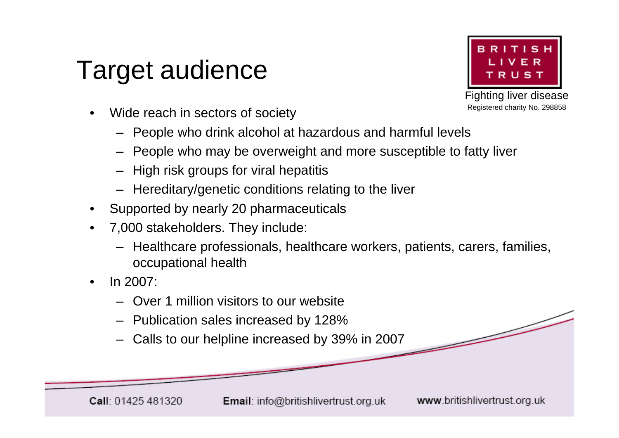#### Target audience



Fighting liver disease Registered charity No. 298858

- Wide reach in sectors of society
	- People who drink alcohol at hazardous and harmful levels
	- People who may be overweight and more susceptible to fatty liver
	- High risk groups for viral hepatitis
	- Hereditary/genetic conditions relating to the liver
- Supported by nearly 20 pharmaceuticals
- 7,000 stakeholders. They include:
	- Healthcare professionals, healthcare workers, patients, carers, families, occupational health
- In 2007:
	- Over 1 million visitors to our website
	- Publication sales increased by 128%
	- Calls to our helpline increased by 39% in 2007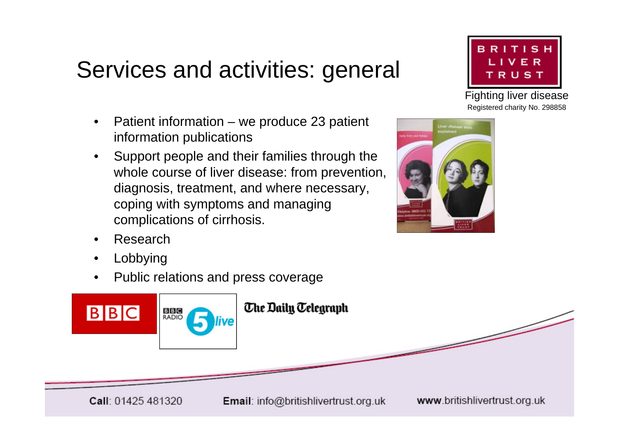#### Services and activities: general

- Patient information we produce 23 patient information publications
- Support people and their families through the whole course of liver disease: from prevention, diagnosis, treatment, and where necessary, coping with symptoms and managing complications of cirrhosis.



Fighting liver disease Registered charity No. 298858



- Research
- **Lobbying**
- Public relations and press coverage



Email: info@britishlivertrust.org.uk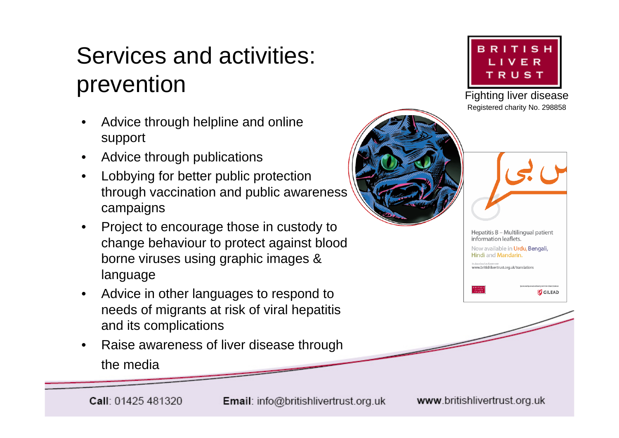#### Services and activities: prevention

- Advice through helpline and online support
- Advice through publications
- Lobbying for better public protection through vaccination and public awareness campaigns
- Project to encourage those in custody to change behaviour to protect against blood borne viruses using graphic images & language
- Advice in other languages to respond to needs of migrants at risk of viral hepatitis and its complications
- Raise awareness of liver disease through the media



Fighting liver disease Registered charity No. 298858





**GILEAD**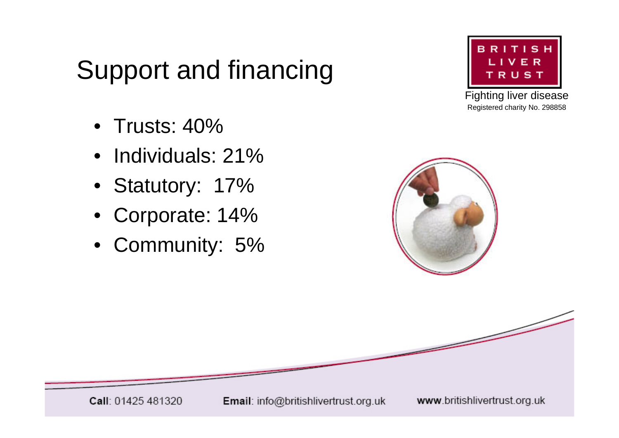## Support and financing

- Trusts: 40%
- Individuals: 21%
- Statutory: 17%
- Corporate: 14%
- Community: 5%



Fighting liver disease Registered charity No. 298858



Email: info@britishlivertrust.org.uk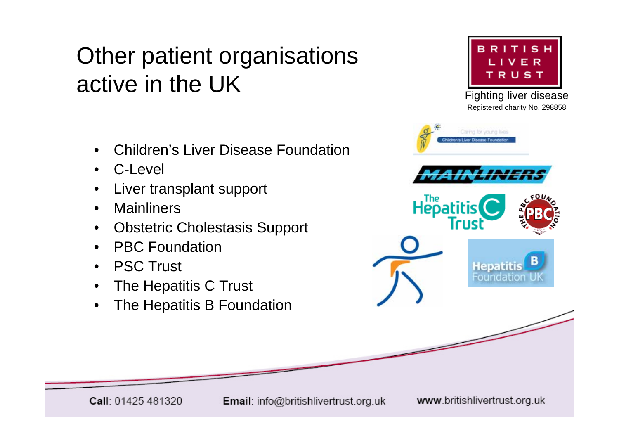#### Other patient organisations active in the UK

- Children's Liver Disease Foundation
- C-Level
- Liver transplant support
- **Mainliners**
- Obstetric Cholestasis Support
- PBC Foundation
- **PSC Trust**
- The Hepatitis C Trust
- The Hepatitis B Foundation



Fighting liver disease Registered charity No. 298858



Email: info@britishlivertrust.org.uk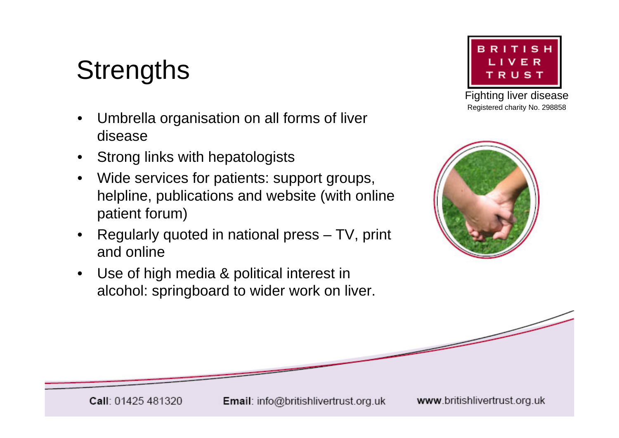## **Strengths**

- Umbrella organisation on all forms of liver disease
- Strong links with hepatologists
- Wide services for patients: support groups, helpline, publications and website (with online patient forum)
- Regularly quoted in national press TV, print and online
- Use of high media & political interest in alcohol: springboard to wider work on liver.



Fighting liver disease Registered charity No. 298858



Email: info@britishlivertrust.org.uk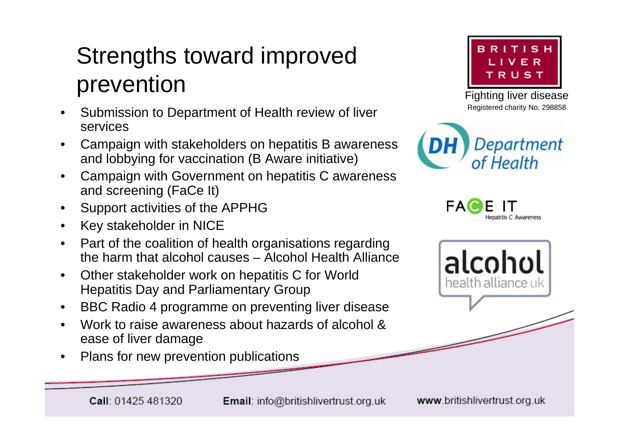#### Strengths toward improved prevention

- Submission to Department of Health review of liver services
- Campaign with stakeholders on hepatitis B awareness and lobbying for vaccination (B Aware initiative)
- Campaign with Government on hepatitis C awareness and screening (FaCe It)
- Support activities of the APPHG
- Key stakeholder in NICE
- Part of the coalition of health organisations regarding the harm that alcohol causes – Alcohol Health Alliance
- Other stakeholder work on hepatitis C for World Hepatitis Day and Parliamentary Group
- BBC Radio 4 programme on preventing liver disease
- Work to raise awareness about hazards of alcohol & ease of liver damage
- Plans for new prevention publications



Fighting liver disease Registered charity No. 298858





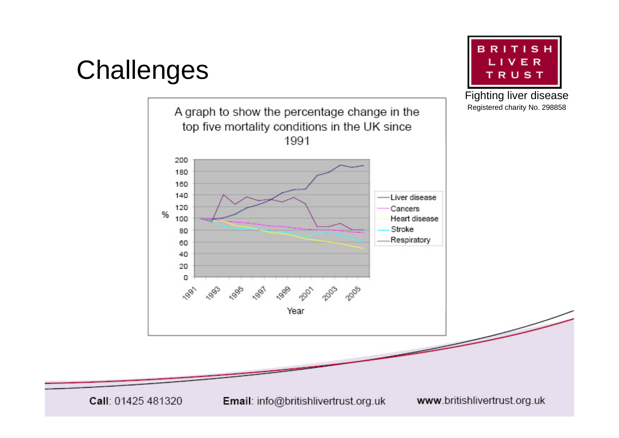## **Challenges**



**BRITISH** LIVER TRUST

Fighting liver disease

Call: 01425 481320

Email: info@britishlivertrust.org.uk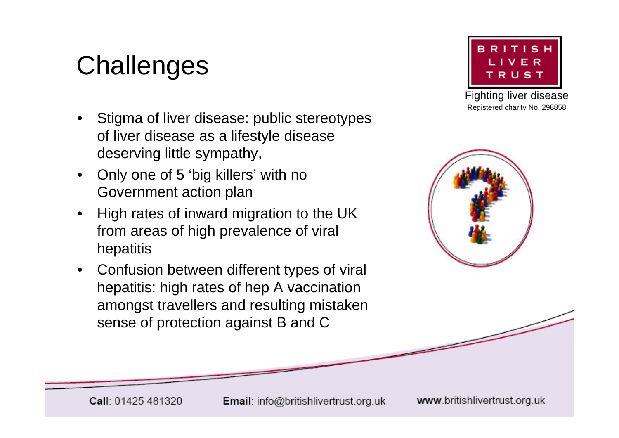# **Challenges**

- Stigma of liver disease: public stereotypes of liver disease as a lifestyle disease deserving little sympathy,
- Only one of 5 'big killers' with no Government action plan
- High rates of inward migration to the UK from areas of high prevalence of viral hepatitis
- Confusion between different types of viral hepatitis: high rates of hep A vaccination amongst travellers and resulting mistaken sense of protection against B and C



Fighting liver disease Registered charity No. 298858



Email: info@britishlivertrust.org.uk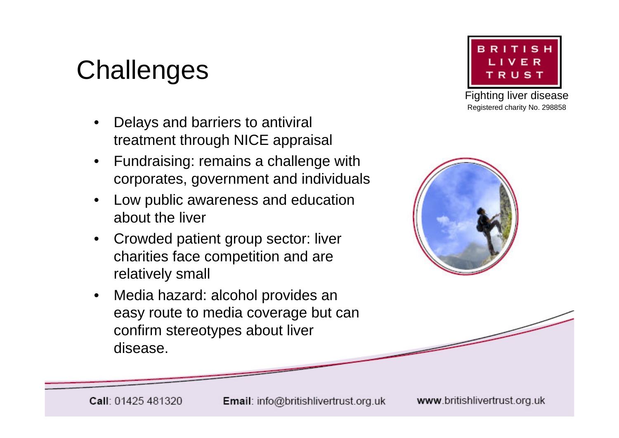## **Challenges**

- Delays and barriers to antiviral treatment through NICE appraisal
- Fundraising: remains a challenge with corporates, government and individuals
- Low public awareness and education about the liver
- Crowded patient group sector: liver charities face competition and are relatively small
- Media hazard: alcohol provides an easy route to media coverage but can confirm stereotypes about liver disease.



Fighting liver disease Registered charity No. 298858



Email: info@britishlivertrust.org.uk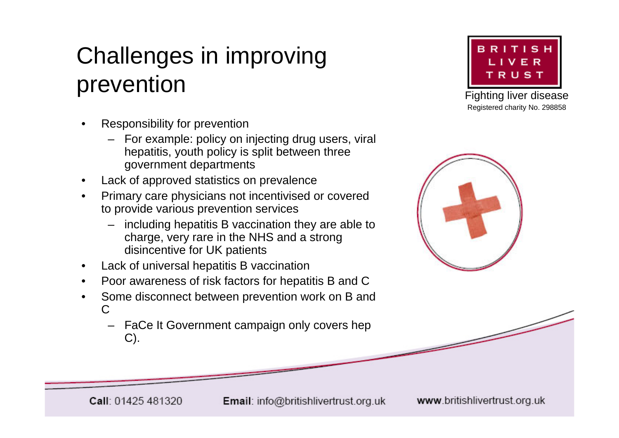#### Challenges in improving prevention

- Responsibility for prevention
	- For example: policy on injecting drug users, viral hepatitis, youth policy is split between three government departments
- Lack of approved statistics on prevalence
- Primary care physicians not incentivised or covered to provide various prevention services
	- including hepatitis B vaccination they are able to charge, very rare in the NHS and a strong disincentive for UK patients
- Lack of universal hepatitis B vaccination
- Poor awareness of risk factors for hepatitis B and C
- Some disconnect between prevention work on B and  $\mathcal{C}$ 
	- FaCe It Government campaign only covers hep C).



Fighting liver disease Registered charity No. 298858



Email: info@britishlivertrust.org.uk